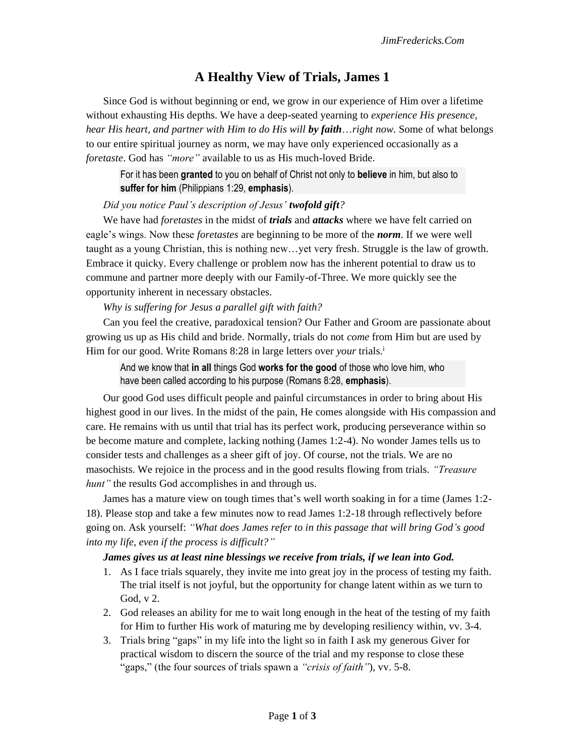## **A Healthy View of Trials, James 1**

Since God is without beginning or end, we grow in our experience of Him over a lifetime without exhausting His depths. We have a deep-seated yearning to *experience His presence, hear His heart, and partner with Him to do His will by faith*…*right now.* Some of what belongs to our entire spiritual journey as norm, we may have only experienced occasionally as a *foretaste*. God has *"more"* available to us as His much-loved Bride.

For it has been **granted** to you on behalf of Christ not only to **believe** in him, but also to **suffer for him** (Philippians 1:29, **emphasis**).

## *Did you notice Paul's description of Jesus' twofold gift?*

We have had *foretastes* in the midst of *trials* and *attacks* where we have felt carried on eagle's wings. Now these *foretastes* are beginning to be more of the *norm*. If we were well taught as a young Christian, this is nothing new…yet very fresh. Struggle is the law of growth. Embrace it quicky. Every challenge or problem now has the inherent potential to draw us to commune and partner more deeply with our Family-of-Three. We more quickly see the opportunity inherent in necessary obstacles.

## *Why is suffering for Jesus a parallel gift with faith?*

Can you feel the creative, paradoxical tension? Our Father and Groom are passionate about growing us up as His child and bride. Normally, trials do not *come* from Him but are used by Him for our good. Write Romans 8:28 in large letters over *your* trials.<sup>i</sup>

And we know that **in all** things God **works for the good** of those who love him, who have been called according to his purpose (Romans 8:28, **emphasis**).

Our good God uses difficult people and painful circumstances in order to bring about His highest good in our lives. In the midst of the pain, He comes alongside with His compassion and care. He remains with us until that trial has its perfect work, producing perseverance within so be become mature and complete, lacking nothing (James 1:2-4). No wonder James tells us to consider tests and challenges as a sheer gift of joy. Of course, not the trials. We are no masochists. We rejoice in the process and in the good results flowing from trials. *"Treasure hunt"* the results God accomplishes in and through us.

James has a mature view on tough times that's well worth soaking in for a time (James 1:2- 18). Please stop and take a few minutes now to read James 1:2-18 through reflectively before going on. Ask yourself: *"What does James refer to in this passage that will bring God's good into my life, even if the process is difficult?"*

## *James gives us at least nine blessings we receive from trials, if we lean into God.*

- 1. As I face trials squarely, they invite me into great joy in the process of testing my faith. The trial itself is not joyful, but the opportunity for change latent within as we turn to God, v 2.
- 2. God releases an ability for me to wait long enough in the heat of the testing of my faith for Him to further His work of maturing me by developing resiliency within, vv. 3-4.
- 3. Trials bring "gaps" in my life into the light so in faith I ask my generous Giver for practical wisdom to discern the source of the trial and my response to close these "gaps," (the four sources of trials spawn a *"crisis of faith"*), vv. 5-8.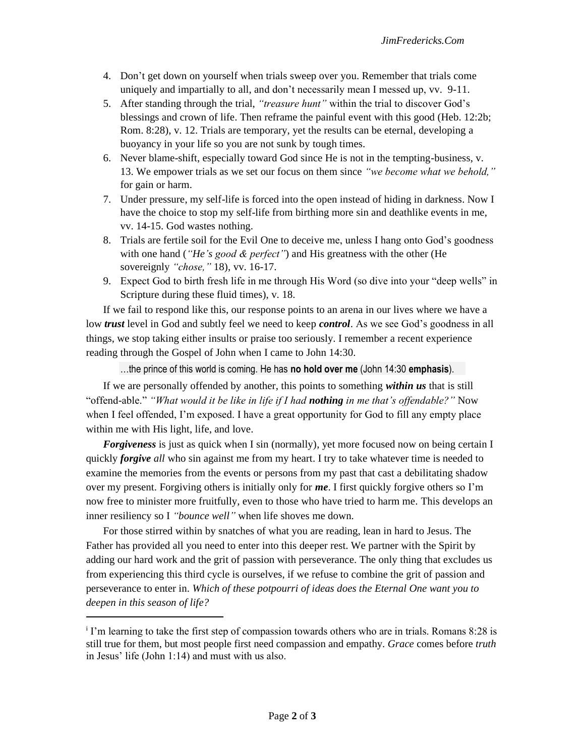- 4. Don't get down on yourself when trials sweep over you. Remember that trials come uniquely and impartially to all, and don't necessarily mean I messed up, vv. 9-11.
- 5. After standing through the trial, *"treasure hunt"* within the trial to discover God's blessings and crown of life. Then reframe the painful event with this good (Heb. 12:2b; Rom. 8:28), v. 12. Trials are temporary, yet the results can be eternal, developing a buoyancy in your life so you are not sunk by tough times.
- 6. Never blame-shift, especially toward God since He is not in the tempting-business, v. 13. We empower trials as we set our focus on them since *"we become what we behold,"*  for gain or harm.
- 7. Under pressure, my self-life is forced into the open instead of hiding in darkness. Now I have the choice to stop my self-life from birthing more sin and deathlike events in me, vv. 14-15. God wastes nothing.
- 8. Trials are fertile soil for the Evil One to deceive me, unless I hang onto God's goodness with one hand (*"He's good & perfect"*) and His greatness with the other (He sovereignly *"chose,"* 18), vv. 16-17.
- 9. Expect God to birth fresh life in me through His Word (so dive into your "deep wells" in Scripture during these fluid times), v. 18.

If we fail to respond like this, our response points to an arena in our lives where we have a low *trust* level in God and subtly feel we need to keep *control*. As we see God's goodness in all things, we stop taking either insults or praise too seriously. I remember a recent experience reading through the Gospel of John when I came to John 14:30.

…the prince of this world is coming. He has **no hold over me** (John 14:30 **emphasis**).

If we are personally offended by another, this points to something *within us* that is still "offend-able." *"What would it be like in life if I had nothing in me that's offendable?"* Now when I feel offended, I'm exposed. I have a great opportunity for God to fill any empty place within me with His light, life, and love.

*Forgiveness* is just as quick when I sin (normally), yet more focused now on being certain I quickly *forgive all* who sin against me from my heart. I try to take whatever time is needed to examine the memories from the events or persons from my past that cast a debilitating shadow over my present. Forgiving others is initially only for *me*. I first quickly forgive others so I'm now free to minister more fruitfully, even to those who have tried to harm me. This develops an inner resiliency so I *"bounce well"* when life shoves me down.

For those stirred within by snatches of what you are reading, lean in hard to Jesus. The Father has provided all you need to enter into this deeper rest. We partner with the Spirit by adding our hard work and the grit of passion with perseverance. The only thing that excludes us from experiencing this third cycle is ourselves, if we refuse to combine the grit of passion and perseverance to enter in. *Which of these potpourri of ideas does the Eternal One want you to deepen in this season of life?*

<sup>&</sup>lt;sup>i</sup> I'm learning to take the first step of compassion towards others who are in trials. Romans 8:28 is still true for them, but most people first need compassion and empathy. *Grace* comes before *truth*  in Jesus' life (John 1:14) and must with us also.